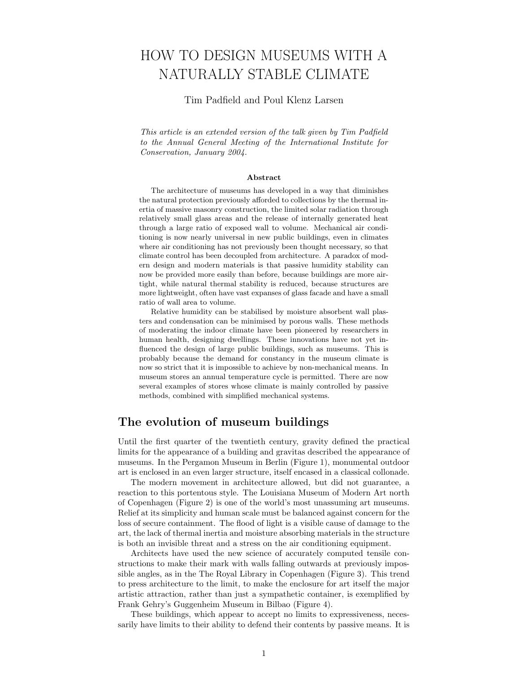# HOW TO DESIGN MUSEUMS WITH A NATURALLY STABLE CLIMATE

#### Tim Padfield and Poul Klenz Larsen

This article is an extended version of the talk given by Tim Padfield to the Annual General Meeting of the International Institute for Conservation, January 2004.

#### Abstract

The architecture of museums has developed in a way that diminishes the natural protection previously afforded to collections by the thermal inertia of massive masonry construction, the limited solar radiation through relatively small glass areas and the release of internally generated heat through a large ratio of exposed wall to volume. Mechanical air conditioning is now nearly universal in new public buildings, even in climates where air conditioning has not previously been thought necessary, so that climate control has been decoupled from architecture. A paradox of modern design and modern materials is that passive humidity stability can now be provided more easily than before, because buildings are more airtight, while natural thermal stability is reduced, because structures are more lightweight, often have vast expanses of glass facade and have a small ratio of wall area to volume.

Relative humidity can be stabilised by moisture absorbent wall plasters and condensation can be minimised by porous walls. These methods of moderating the indoor climate have been pioneered by researchers in human health, designing dwellings. These innovations have not yet influenced the design of large public buildings, such as museums. This is probably because the demand for constancy in the museum climate is now so strict that it is impossible to achieve by non-mechanical means. In museum stores an annual temperature cycle is permitted. There are now several examples of stores whose climate is mainly controlled by passive methods, combined with simplified mechanical systems.

## The evolution of museum buildings

Until the first quarter of the twentieth century, gravity defined the practical limits for the appearance of a building and gravitas described the appearance of museums. In the Pergamon Museum in Berlin (Figure 1), monumental outdoor art is enclosed in an even larger structure, itself encased in a classical collonade.

The modern movement in architecture allowed, but did not guarantee, a reaction to this portentous style. The Louisiana Museum of Modern Art north of Copenhagen (Figure 2) is one of the world's most unassuming art museums. Relief at its simplicity and human scale must be balanced against concern for the loss of secure containment. The flood of light is a visible cause of damage to the art, the lack of thermal inertia and moisture absorbing materials in the structure is both an invisible threat and a stress on the air conditioning equipment.

Architects have used the new science of accurately computed tensile constructions to make their mark with walls falling outwards at previously impossible angles, as in the The Royal Library in Copenhagen (Figure 3). This trend to press architecture to the limit, to make the enclosure for art itself the major artistic attraction, rather than just a sympathetic container, is exemplified by Frank Gehry's Guggenheim Museum in Bilbao (Figure 4).

These buildings, which appear to accept no limits to expressiveness, necessarily have limits to their ability to defend their contents by passive means. It is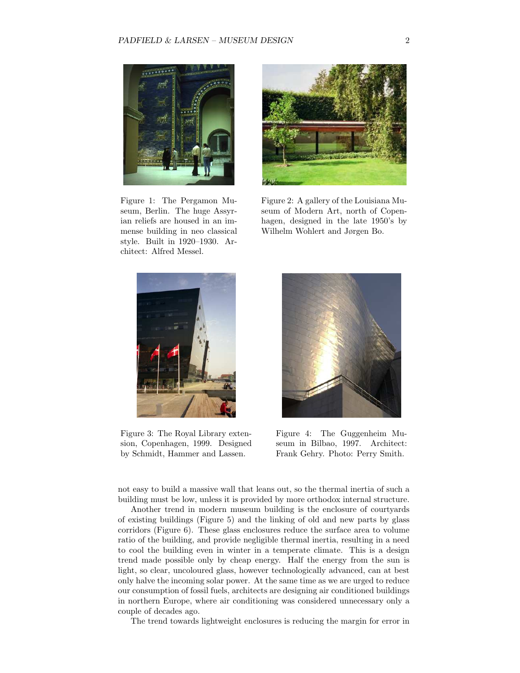

Figure 1: The Pergamon Museum, Berlin. The huge Assyrian reliefs are housed in an immense building in neo classical style. Built in 1920–1930. Architect: Alfred Messel.



Figure 2: A gallery of the Louisiana Museum of Modern Art, north of Copenhagen, designed in the late 1950's by Wilhelm Wohlert and Jørgen Bo.



Figure 3: The Royal Library extension, Copenhagen, 1999. Designed by Schmidt, Hammer and Lassen.



Figure 4: The Guggenheim Museum in Bilbao, 1997. Architect: Frank Gehry. Photo: Perry Smith.

not easy to build a massive wall that leans out, so the thermal inertia of such a building must be low, unless it is provided by more orthodox internal structure.

Another trend in modern museum building is the enclosure of courtyards of existing buildings (Figure 5) and the linking of old and new parts by glass corridors (Figure 6). These glass enclosures reduce the surface area to volume ratio of the building, and provide negligible thermal inertia, resulting in a need to cool the building even in winter in a temperate climate. This is a design trend made possible only by cheap energy. Half the energy from the sun is light, so clear, uncoloured glass, however technologically advanced, can at best only halve the incoming solar power. At the same time as we are urged to reduce our consumption of fossil fuels, architects are designing air conditioned buildings in northern Europe, where air conditioning was considered unnecessary only a couple of decades ago.

The trend towards lightweight enclosures is reducing the margin for error in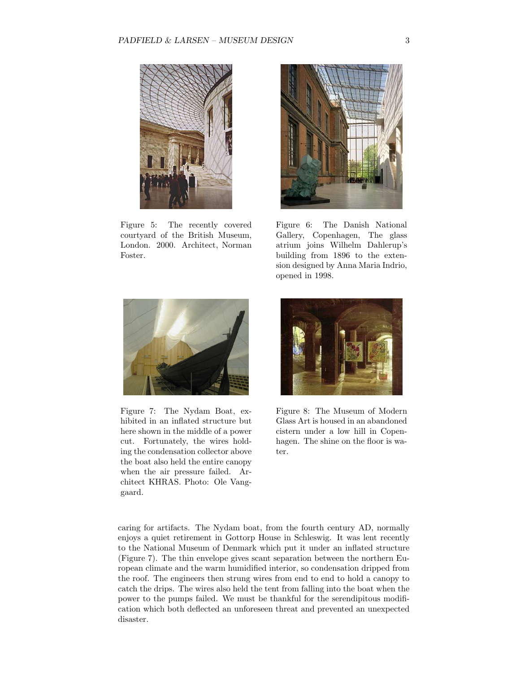

Figure 5: The recently covered courtyard of the British Museum, London. 2000. Architect, Norman Foster.



Figure 6: The Danish National Gallery, Copenhagen, The glass atrium joins Wilhelm Dahlerup's building from 1896 to the extension designed by Anna Maria Indrio, opened in 1998.



Figure 7: The Nydam Boat, exhibited in an inflated structure but here shown in the middle of a power cut. Fortunately, the wires holding the condensation collector above the boat also held the entire canopy when the air pressure failed. Architect KHRAS. Photo: Ole Vanggaard.



Figure 8: The Museum of Modern Glass Art is housed in an abandoned cistern under a low hill in Copenhagen. The shine on the floor is water.

caring for artifacts. The Nydam boat, from the fourth century AD, normally enjoys a quiet retirement in Gottorp House in Schleswig. It was lent recently to the National Museum of Denmark which put it under an inflated structure (Figure 7). The thin envelope gives scant separation between the northern European climate and the warm humidified interior, so condensation dripped from the roof. The engineers then strung wires from end to end to hold a canopy to catch the drips. The wires also held the tent from falling into the boat when the power to the pumps failed. We must be thankful for the serendipitous modification which both deflected an unforeseen threat and prevented an unexpected disaster.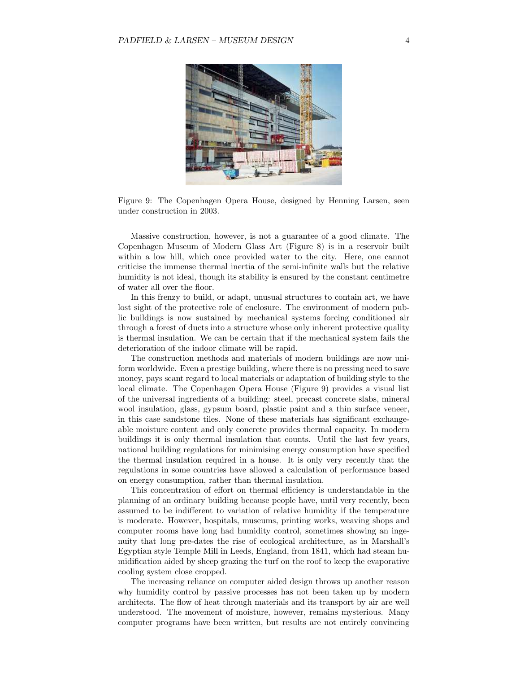

Figure 9: The Copenhagen Opera House, designed by Henning Larsen, seen under construction in 2003.

Massive construction, however, is not a guarantee of a good climate. The Copenhagen Museum of Modern Glass Art (Figure 8) is in a reservoir built within a low hill, which once provided water to the city. Here, one cannot criticise the immense thermal inertia of the semi-infinite walls but the relative humidity is not ideal, though its stability is ensured by the constant centimetre of water all over the floor.

In this frenzy to build, or adapt, unusual structures to contain art, we have lost sight of the protective role of enclosure. The environment of modern public buildings is now sustained by mechanical systems forcing conditioned air through a forest of ducts into a structure whose only inherent protective quality is thermal insulation. We can be certain that if the mechanical system fails the deterioration of the indoor climate will be rapid.

The construction methods and materials of modern buildings are now uniform worldwide. Even a prestige building, where there is no pressing need to save money, pays scant regard to local materials or adaptation of building style to the local climate. The Copenhagen Opera House (Figure 9) provides a visual list of the universal ingredients of a building: steel, precast concrete slabs, mineral wool insulation, glass, gypsum board, plastic paint and a thin surface veneer, in this case sandstone tiles. None of these materials has significant exchangeable moisture content and only concrete provides thermal capacity. In modern buildings it is only thermal insulation that counts. Until the last few years, national building regulations for minimising energy consumption have specified the thermal insulation required in a house. It is only very recently that the regulations in some countries have allowed a calculation of performance based on energy consumption, rather than thermal insulation.

This concentration of effort on thermal efficiency is understandable in the planning of an ordinary building because people have, until very recently, been assumed to be indifferent to variation of relative humidity if the temperature is moderate. However, hospitals, museums, printing works, weaving shops and computer rooms have long had humidity control, sometimes showing an ingenuity that long pre-dates the rise of ecological architecture, as in Marshall's Egyptian style Temple Mill in Leeds, England, from 1841, which had steam humidification aided by sheep grazing the turf on the roof to keep the evaporative cooling system close cropped.

The increasing reliance on computer aided design throws up another reason why humidity control by passive processes has not been taken up by modern architects. The flow of heat through materials and its transport by air are well understood. The movement of moisture, however, remains mysterious. Many computer programs have been written, but results are not entirely convincing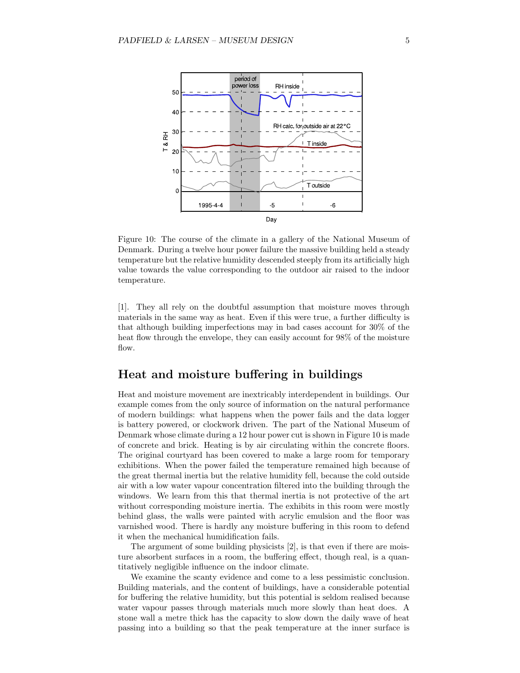

Figure 10: The course of the climate in a gallery of the National Museum of Denmark. During a twelve hour power failure the massive building held a steady temperature but the relative humidity descended steeply from its artificially high value towards the value corresponding to the outdoor air raised to the indoor temperature.

[1]. They all rely on the doubtful assumption that moisture moves through materials in the same way as heat. Even if this were true, a further difficulty is that although building imperfections may in bad cases account for 30% of the heat flow through the envelope, they can easily account for 98% of the moisture flow.

#### Heat and moisture buffering in buildings

Heat and moisture movement are inextricably interdependent in buildings. Our example comes from the only source of information on the natural performance of modern buildings: what happens when the power fails and the data logger is battery powered, or clockwork driven. The part of the National Museum of Denmark whose climate during a 12 hour power cut is shown in Figure 10 is made of concrete and brick. Heating is by air circulating within the concrete floors. The original courtyard has been covered to make a large room for temporary exhibitions. When the power failed the temperature remained high because of the great thermal inertia but the relative humidity fell, because the cold outside air with a low water vapour concentration filtered into the building through the windows. We learn from this that thermal inertia is not protective of the art without corresponding moisture inertia. The exhibits in this room were mostly behind glass, the walls were painted with acrylic emulsion and the floor was varnished wood. There is hardly any moisture buffering in this room to defend it when the mechanical humidification fails.

The argument of some building physicists [2], is that even if there are moisture absorbent surfaces in a room, the buffering effect, though real, is a quantitatively negligible influence on the indoor climate.

We examine the scanty evidence and come to a less pessimistic conclusion. Building materials, and the content of buildings, have a considerable potential for buffering the relative humidity, but this potential is seldom realised because water vapour passes through materials much more slowly than heat does. A stone wall a metre thick has the capacity to slow down the daily wave of heat passing into a building so that the peak temperature at the inner surface is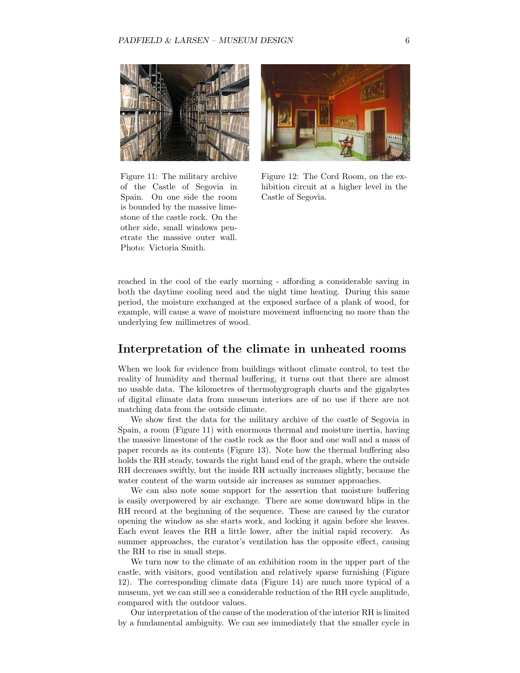



Figure 11: The military archive of the Castle of Segovia in Spain. On one side the room is bounded by the massive limestone of the castle rock. On the other side, small windows penetrate the massive outer wall. Photo: Victoria Smith.

Figure 12: The Cord Room, on the exhibition circuit at a higher level in the Castle of Segovia.

reached in the cool of the early morning - affording a considerable saving in both the daytime cooling need and the night time heating. During this same period, the moisture exchanged at the exposed surface of a plank of wood, for example, will cause a wave of moisture movement influencing no more than the underlying few millimetres of wood.

#### Interpretation of the climate in unheated rooms

When we look for evidence from buildings without climate control, to test the reality of humidity and thermal buffering, it turns out that there are almost no usable data. The kilometres of thermohygrograph charts and the gigabytes of digital climate data from museum interiors are of no use if there are not matching data from the outside climate.

We show first the data for the military archive of the castle of Segovia in Spain, a room (Figure 11) with enormous thermal and moisture inertia, having the massive limestone of the castle rock as the floor and one wall and a mass of paper records as its contents (Figure 13). Note how the thermal buffering also holds the RH steady, towards the right hand end of the graph, where the outside RH decreases swiftly, but the inside RH actually increases slightly, because the water content of the warm outside air increases as summer approaches.

We can also note some support for the assertion that moisture buffering is easily overpowered by air exchange. There are some downward blips in the RH record at the beginning of the sequence. These are caused by the curator opening the window as she starts work, and locking it again before she leaves. Each event leaves the RH a little lower, after the initial rapid recovery. As summer approaches, the curator's ventilation has the opposite effect, causing the RH to rise in small steps.

We turn now to the climate of an exhibition room in the upper part of the castle, with visitors, good ventilation and relatively sparse furnishing (Figure 12). The corresponding climate data (Figure 14) are much more typical of a museum, yet we can still see a considerable reduction of the RH cycle amplitude, compared with the outdoor values.

Our interpretation of the cause of the moderation of the interior RH is limited by a fundamental ambiguity. We can see immediately that the smaller cycle in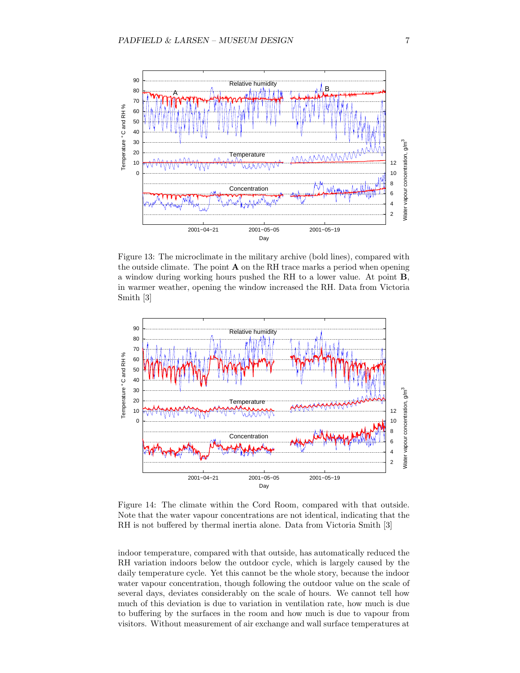

Figure 13: The microclimate in the military archive (bold lines), compared with the outside climate. The point  $A$  on the RH trace marks a period when opening a window during working hours pushed the RH to a lower value. At point B, in warmer weather, opening the window increased the RH. Data from Victoria Smith [3]



Figure 14: The climate within the Cord Room, compared with that outside. Note that the water vapour concentrations are not identical, indicating that the RH is not buffered by thermal inertia alone. Data from Victoria Smith [3]

indoor temperature, compared with that outside, has automatically reduced the RH variation indoors below the outdoor cycle, which is largely caused by the daily temperature cycle. Yet this cannot be the whole story, because the indoor water vapour concentration, though following the outdoor value on the scale of several days, deviates considerably on the scale of hours. We cannot tell how much of this deviation is due to variation in ventilation rate, how much is due to buffering by the surfaces in the room and how much is due to vapour from visitors. Without measurement of air exchange and wall surface temperatures at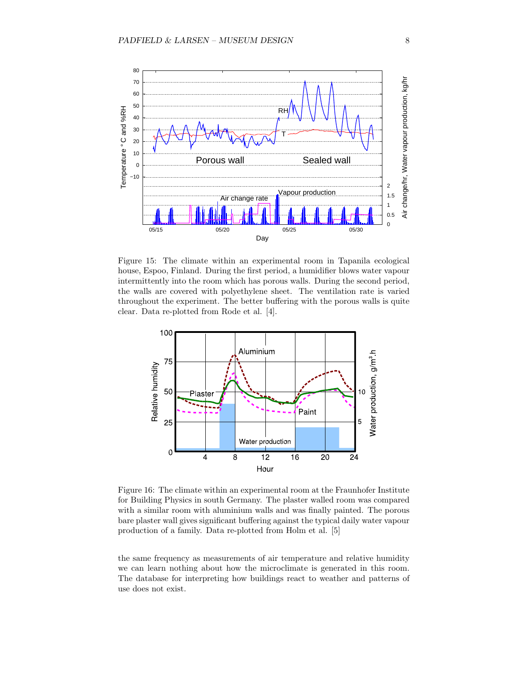

Figure 15: The climate within an experimental room in Tapanila ecological house, Espoo, Finland. During the first period, a humidifier blows water vapour intermittently into the room which has porous walls. During the second period, the walls are covered with polyethylene sheet. The ventilation rate is varied throughout the experiment. The better buffering with the porous walls is quite clear. Data re-plotted from Rode et al. [4].



Figure 16: The climate within an experimental room at the Fraunhofer Institute for Building Physics in south Germany. The plaster walled room was compared with a similar room with aluminium walls and was finally painted. The porous bare plaster wall gives significant buffering against the typical daily water vapour production of a family. Data re-plotted from Holm et al. [5]

the same frequency as measurements of air temperature and relative humidity we can learn nothing about how the microclimate is generated in this room. The database for interpreting how buildings react to weather and patterns of use does not exist.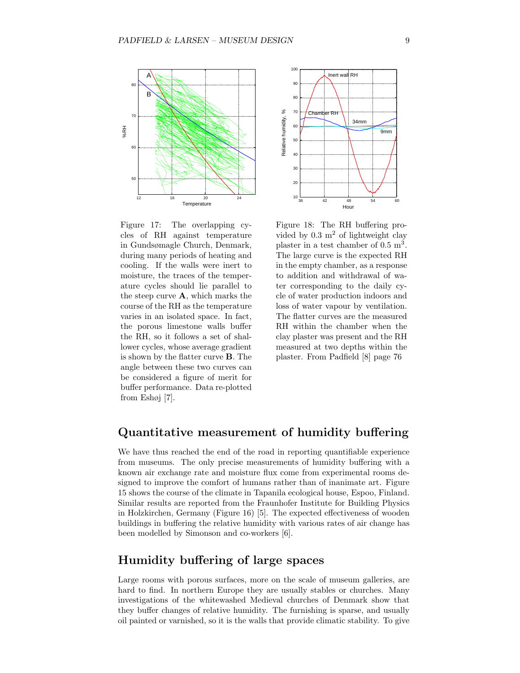

Figure 17: The overlapping cycles of RH against temperature in Gundsømagle Church, Denmark, during many periods of heating and cooling. If the walls were inert to moisture, the traces of the temperature cycles should lie parallel to the steep curve A, which marks the course of the RH as the temperature varies in an isolated space. In fact, the porous limestone walls buffer the RH, so it follows a set of shallower cycles, whose average gradient is shown by the flatter curve B. The angle between these two curves can be considered a figure of merit for buffer performance. Data re-plotted from Eshøj [7].



Figure 18: The RH buffering provided by  $0.3 \text{ m}^2$  of lightweight clay plaster in a test chamber of  $0.5 \text{ m}^3$ . The large curve is the expected RH in the empty chamber, as a response to addition and withdrawal of water corresponding to the daily cycle of water production indoors and loss of water vapour by ventilation. The flatter curves are the measured RH within the chamber when the clay plaster was present and the RH measured at two depths within the plaster. From Padfield [8] page 76

## Quantitative measurement of humidity buffering

We have thus reached the end of the road in reporting quantifiable experience from museums. The only precise measurements of humidity buffering with a known air exchange rate and moisture flux come from experimental rooms designed to improve the comfort of humans rather than of inanimate art. Figure 15 shows the course of the climate in Tapanila ecological house, Espoo, Finland. Similar results are reported from the Fraunhofer Institute for Building Physics in Holzkirchen, Germany (Figure 16) [5]. The expected effectiveness of wooden buildings in buffering the relative humidity with various rates of air change has been modelled by Simonson and co-workers [6].

## Humidity buffering of large spaces

Large rooms with porous surfaces, more on the scale of museum galleries, are hard to find. In northern Europe they are usually stables or churches. Many investigations of the whitewashed Medieval churches of Denmark show that they buffer changes of relative humidity. The furnishing is sparse, and usually oil painted or varnished, so it is the walls that provide climatic stability. To give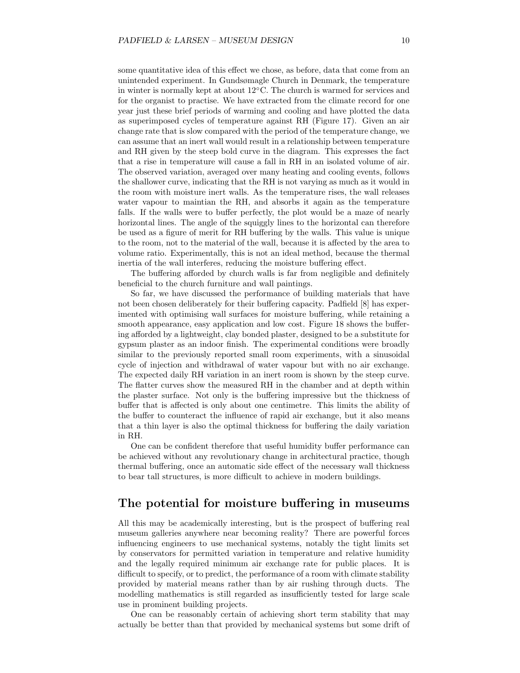some quantitative idea of this effect we chose, as before, data that come from an unintended experiment. In Gundsømagle Church in Denmark, the temperature in winter is normally kept at about 12◦C. The church is warmed for services and for the organist to practise. We have extracted from the climate record for one year just these brief periods of warming and cooling and have plotted the data as superimposed cycles of temperature against RH (Figure 17). Given an air change rate that is slow compared with the period of the temperature change, we can assume that an inert wall would result in a relationship between temperature and RH given by the steep bold curve in the diagram. This expresses the fact that a rise in temperature will cause a fall in RH in an isolated volume of air. The observed variation, averaged over many heating and cooling events, follows the shallower curve, indicating that the RH is not varying as much as it would in the room with moisture inert walls. As the temperature rises, the wall releases water vapour to maintian the RH, and absorbs it again as the temperature falls. If the walls were to buffer perfectly, the plot would be a maze of nearly horizontal lines. The angle of the squiggly lines to the horizontal can therefore be used as a figure of merit for RH buffering by the walls. This value is unique to the room, not to the material of the wall, because it is affected by the area to volume ratio. Experimentally, this is not an ideal method, because the thermal inertia of the wall interferes, reducing the moisture buffering effect.

The buffering afforded by church walls is far from negligible and definitely beneficial to the church furniture and wall paintings.

So far, we have discussed the performance of building materials that have not been chosen deliberately for their buffering capacity. Padfield [8] has experimented with optimising wall surfaces for moisture buffering, while retaining a smooth appearance, easy application and low cost. Figure 18 shows the buffering afforded by a lightweight, clay bonded plaster, designed to be a substitute for gypsum plaster as an indoor finish. The experimental conditions were broadly similar to the previously reported small room experiments, with a sinusoidal cycle of injection and withdrawal of water vapour but with no air exchange. The expected daily RH variation in an inert room is shown by the steep curve. The flatter curves show the measured RH in the chamber and at depth within the plaster surface. Not only is the buffering impressive but the thickness of buffer that is affected is only about one centimetre. This limits the ability of the buffer to counteract the influence of rapid air exchange, but it also means that a thin layer is also the optimal thickness for buffering the daily variation in RH.

One can be confident therefore that useful humidity buffer performance can be achieved without any revolutionary change in architectural practice, though thermal buffering, once an automatic side effect of the necessary wall thickness to bear tall structures, is more difficult to achieve in modern buildings.

#### The potential for moisture buffering in museums

All this may be academically interesting, but is the prospect of buffering real museum galleries anywhere near becoming reality? There are powerful forces influencing engineers to use mechanical systems, notably the tight limits set by conservators for permitted variation in temperature and relative humidity and the legally required minimum air exchange rate for public places. It is difficult to specify, or to predict, the performance of a room with climate stability provided by material means rather than by air rushing through ducts. The modelling mathematics is still regarded as insufficiently tested for large scale use in prominent building projects.

One can be reasonably certain of achieving short term stability that may actually be better than that provided by mechanical systems but some drift of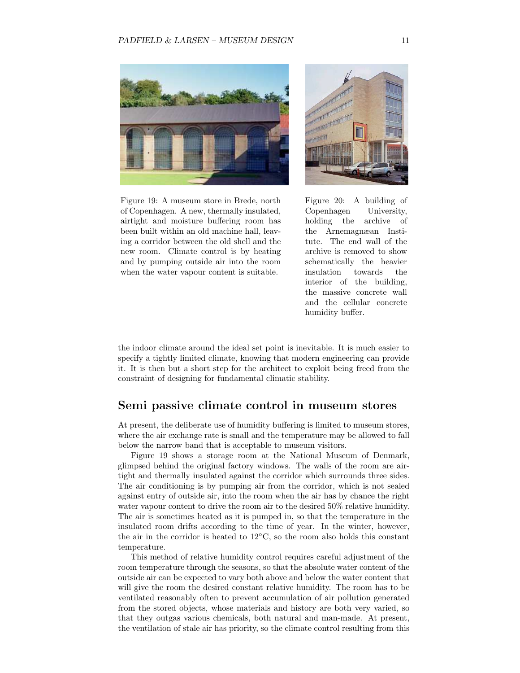

Figure 19: A museum store in Brede, north of Copenhagen. A new, thermally insulated, airtight and moisture buffering room has been built within an old machine hall, leaving a corridor between the old shell and the new room. Climate control is by heating and by pumping outside air into the room when the water vapour content is suitable.



Figure 20: A building of Copenhagen University, holding the archive of the Arnemagnæan Institute. The end wall of the archive is removed to show schematically the heavier insulation towards the interior of the building, the massive concrete wall and the cellular concrete humidity buffer.

the indoor climate around the ideal set point is inevitable. It is much easier to specify a tightly limited climate, knowing that modern engineering can provide it. It is then but a short step for the architect to exploit being freed from the constraint of designing for fundamental climatic stability.

#### Semi passive climate control in museum stores

At present, the deliberate use of humidity buffering is limited to museum stores, where the air exchange rate is small and the temperature may be allowed to fall below the narrow band that is acceptable to museum visitors.

Figure 19 shows a storage room at the National Museum of Denmark, glimpsed behind the original factory windows. The walls of the room are airtight and thermally insulated against the corridor which surrounds three sides. The air conditioning is by pumping air from the corridor, which is not sealed against entry of outside air, into the room when the air has by chance the right water vapour content to drive the room air to the desired 50% relative humidity. The air is sometimes heated as it is pumped in, so that the temperature in the insulated room drifts according to the time of year. In the winter, however, the air in the corridor is heated to 12◦C, so the room also holds this constant temperature.

This method of relative humidity control requires careful adjustment of the room temperature through the seasons, so that the absolute water content of the outside air can be expected to vary both above and below the water content that will give the room the desired constant relative humidity. The room has to be ventilated reasonably often to prevent accumulation of air pollution generated from the stored objects, whose materials and history are both very varied, so that they outgas various chemicals, both natural and man-made. At present, the ventilation of stale air has priority, so the climate control resulting from this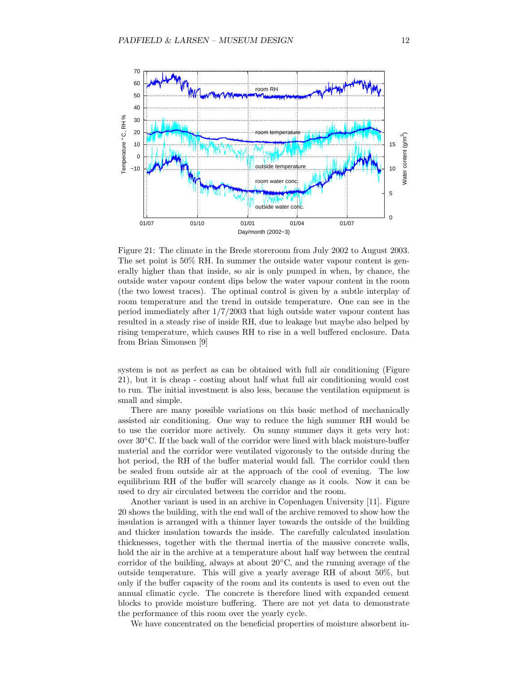

Figure 21: The climate in the Brede storeroom from July 2002 to August 2003. The set point is 50% RH. In summer the outside water vapour content is generally higher than that inside, so air is only pumped in when, by chance, the outside water vapour content dips below the water vapour content in the room (the two lowest traces). The optimal control is given by a subtle interplay of room temperature and the trend in outside temperature. One can see in the period immediately after 1/7/2003 that high outside water vapour content has resulted in a steady rise of inside RH, due to leakage but maybe also helped by rising temperature, which causes RH to rise in a well buffered enclosure. Data from Brian Simonsen [9]

system is not as perfect as can be obtained with full air conditioning (Figure 21), but it is cheap - costing about half what full air conditioning would cost to run. The initial investment is also less, because the ventilation equipment is small and simple.

There are many possible variations on this basic method of mechanically assisted air conditioning. One way to reduce the high summer RH would be to use the corridor more actively. On sunny summer days it gets very hot: over 30◦C. If the back wall of the corridor were lined with black moisture-buffer material and the corridor were ventilated vigorously to the outside during the hot period, the RH of the buffer material would fall. The corridor could then be sealed from outside air at the approach of the cool of evening. The low equilibrium RH of the buffer will scarcely change as it cools. Now it can be used to dry air circulated between the corridor and the room.

Another variant is used in an archive in Copenhagen University [11]. Figure 20 shows the building, with the end wall of the archive removed to show how the insulation is arranged with a thinner layer towards the outside of the building and thicker insulation towards the inside. The carefully calculated insulation thicknesses, together with the thermal inertia of the massive concrete walls, hold the air in the archive at a temperature about half way between the central corridor of the building, always at about  $20^{\circ}$ C, and the running average of the outside temperature. This will give a yearly average RH of about 50%, but only if the buffer capacity of the room and its contents is used to even out the annual climatic cycle. The concrete is therefore lined with expanded cement blocks to provide moisture buffering. There are not yet data to demonstrate the performance of this room over the yearly cycle.

We have concentrated on the beneficial properties of moisture absorbent in-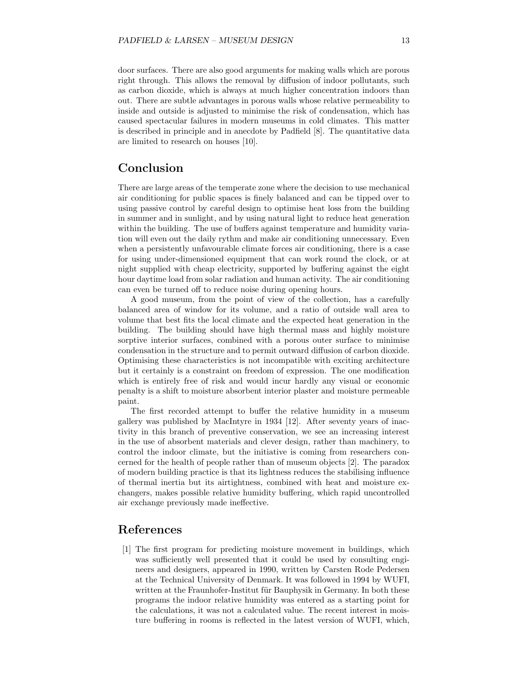door surfaces. There are also good arguments for making walls which are porous right through. This allows the removal by diffusion of indoor pollutants, such as carbon dioxide, which is always at much higher concentration indoors than out. There are subtle advantages in porous walls whose relative permeability to inside and outside is adjusted to minimise the risk of condensation, which has caused spectacular failures in modern museums in cold climates. This matter is described in principle and in anecdote by Padfield [8]. The quantitative data are limited to research on houses [10].

#### Conclusion

There are large areas of the temperate zone where the decision to use mechanical air conditioning for public spaces is finely balanced and can be tipped over to using passive control by careful design to optimise heat loss from the building in summer and in sunlight, and by using natural light to reduce heat generation within the building. The use of buffers against temperature and humidity variation will even out the daily rythm and make air conditioning unnecessary. Even when a persistently unfavourable climate forces air conditioning, there is a case for using under-dimensioned equipment that can work round the clock, or at night supplied with cheap electricity, supported by buffering against the eight hour daytime load from solar radiation and human activity. The air conditioning can even be turned off to reduce noise during opening hours.

A good museum, from the point of view of the collection, has a carefully balanced area of window for its volume, and a ratio of outside wall area to volume that best fits the local climate and the expected heat generation in the building. The building should have high thermal mass and highly moisture sorptive interior surfaces, combined with a porous outer surface to minimise condensation in the structure and to permit outward diffusion of carbon dioxide. Optimising these characteristics is not incompatible with exciting architecture but it certainly is a constraint on freedom of expression. The one modification which is entirely free of risk and would incur hardly any visual or economic penalty is a shift to moisture absorbent interior plaster and moisture permeable paint.

The first recorded attempt to buffer the relative humidity in a museum gallery was published by MacIntyre in 1934 [12]. After seventy years of inactivity in this branch of preventive conservation, we see an increasing interest in the use of absorbent materials and clever design, rather than machinery, to control the indoor climate, but the initiative is coming from researchers concerned for the health of people rather than of museum objects [2]. The paradox of modern building practice is that its lightness reduces the stabilising influence of thermal inertia but its airtightness, combined with heat and moisture exchangers, makes possible relative humidity buffering, which rapid uncontrolled air exchange previously made ineffective.

# References

[1] The first program for predicting moisture movement in buildings, which was sufficiently well presented that it could be used by consulting engineers and designers, appeared in 1990, written by Carsten Rode Pedersen at the Technical University of Denmark. It was followed in 1994 by WUFI, written at the Fraunhofer-Institut für Bauphysik in Germany. In both these programs the indoor relative humidity was entered as a starting point for the calculations, it was not a calculated value. The recent interest in moisture buffering in rooms is reflected in the latest version of WUFI, which,